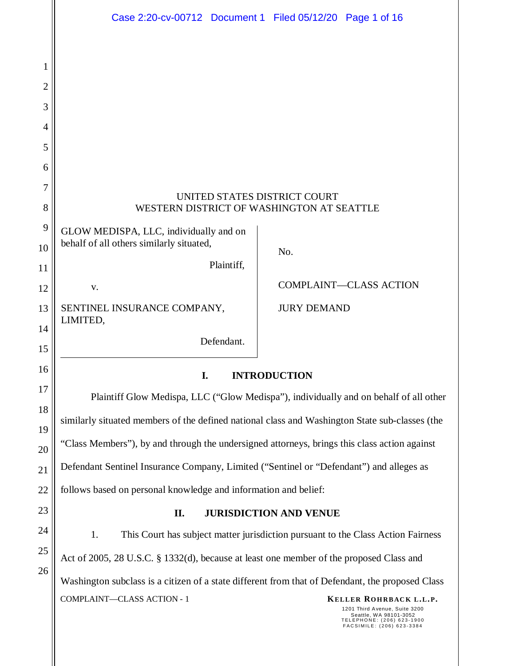|                | Case 2:20-cv-00712 Document 1 Filed 05/12/20 Page 1 of 16                                        |                    |                                                                                  |  |  |
|----------------|--------------------------------------------------------------------------------------------------|--------------------|----------------------------------------------------------------------------------|--|--|
|                |                                                                                                  |                    |                                                                                  |  |  |
| 1              |                                                                                                  |                    |                                                                                  |  |  |
| $\overline{c}$ |                                                                                                  |                    |                                                                                  |  |  |
| 3              |                                                                                                  |                    |                                                                                  |  |  |
| 4              |                                                                                                  |                    |                                                                                  |  |  |
| 5              |                                                                                                  |                    |                                                                                  |  |  |
| 6              |                                                                                                  |                    |                                                                                  |  |  |
| 7              | UNITED STATES DISTRICT COURT                                                                     |                    |                                                                                  |  |  |
| 8              | WESTERN DISTRICT OF WASHINGTON AT SEATTLE                                                        |                    |                                                                                  |  |  |
| 9              | GLOW MEDISPA, LLC, individually and on<br>behalf of all others similarly situated,               |                    |                                                                                  |  |  |
| 10             | Plaintiff,                                                                                       | No.                |                                                                                  |  |  |
| 11<br>12       | V.                                                                                               |                    | <b>COMPLAINT-CLASS ACTION</b>                                                    |  |  |
|                |                                                                                                  |                    |                                                                                  |  |  |
| 13<br>14       | SENTINEL INSURANCE COMPANY,<br>LIMITED,                                                          | <b>JURY DEMAND</b> |                                                                                  |  |  |
| 15             | Defendant.                                                                                       |                    |                                                                                  |  |  |
| 16             | I.<br><b>INTRODUCTION</b>                                                                        |                    |                                                                                  |  |  |
| 17             | Plaintiff Glow Medispa, LLC ("Glow Medispa"), individually and on behalf of all other            |                    |                                                                                  |  |  |
| 18             |                                                                                                  |                    |                                                                                  |  |  |
| 19             | similarly situated members of the defined national class and Washington State sub-classes (the   |                    |                                                                                  |  |  |
| 20             | "Class Members"), by and through the undersigned attorneys, brings this class action against     |                    |                                                                                  |  |  |
| 21             | Defendant Sentinel Insurance Company, Limited ("Sentinel or "Defendant") and alleges as          |                    |                                                                                  |  |  |
| 22             | follows based on personal knowledge and information and belief:                                  |                    |                                                                                  |  |  |
| 23             | <b>JURISDICTION AND VENUE</b><br>II.                                                             |                    |                                                                                  |  |  |
| 24             | 1.<br>This Court has subject matter jurisdiction pursuant to the Class Action Fairness           |                    |                                                                                  |  |  |
| 25             | Act of 2005, 28 U.S.C. § 1332(d), because at least one member of the proposed Class and          |                    |                                                                                  |  |  |
| 26             | Washington subclass is a citizen of a state different from that of Defendant, the proposed Class |                    |                                                                                  |  |  |
|                | COMPLAINT-CLASS ACTION - 1                                                                       |                    | KELLER ROHRBACK L.L.P.<br>1201 Third Avenue, Suite 3200<br>Seattle WA 98101-3052 |  |  |

Seattle, WA 98101-3052<br>TELEPHONE: (206) 623-1900<br>FACSIMILE: (206) 623-3384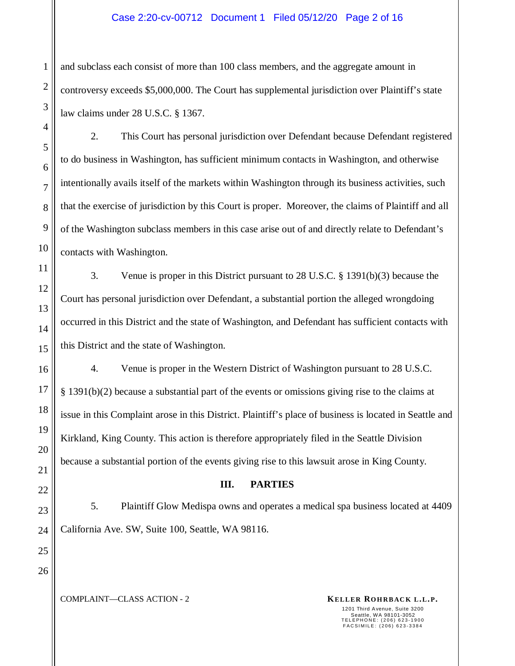#### Case 2:20-cv-00712 Document 1 Filed 05/12/20 Page 2 of 16

and subclass each consist of more than 100 class members, and the aggregate amount in controversy exceeds \$5,000,000. The Court has supplemental jurisdiction over Plaintiff's state law claims under 28 U.S.C. § 1367.

2. This Court has personal jurisdiction over Defendant because Defendant registered to do business in Washington, has sufficient minimum contacts in Washington, and otherwise intentionally avails itself of the markets within Washington through its business activities, such that the exercise of jurisdiction by this Court is proper. Moreover, the claims of Plaintiff and all of the Washington subclass members in this case arise out of and directly relate to Defendant's contacts with Washington.

3. Venue is proper in this District pursuant to 28 U.S.C. § 1391(b)(3) because the Court has personal jurisdiction over Defendant, a substantial portion the alleged wrongdoing occurred in this District and the state of Washington, and Defendant has sufficient contacts with this District and the state of Washington.

4. Venue is proper in the Western District of Washington pursuant to 28 U.S.C. § 1391(b)(2) because a substantial part of the events or omissions giving rise to the claims at issue in this Complaint arose in this District. Plaintiff's place of business is located in Seattle and Kirkland, King County. This action is therefore appropriately filed in the Seattle Division because a substantial portion of the events giving rise to this lawsuit arose in King County.

#### **III. PARTIES**

5. Plaintiff Glow Medispa owns and operates a medical spa business located at 4409 California Ave. SW, Suite 100, Seattle, WA 98116.

24 25 26

1

2

3

4

5

6

7

8

9

10

11

12

13

14

15

16

17

18

19

20

21

22

23

**COMPLAINT—CLASS ACTION - 2 KELLER ROHRBACK L.L.P.**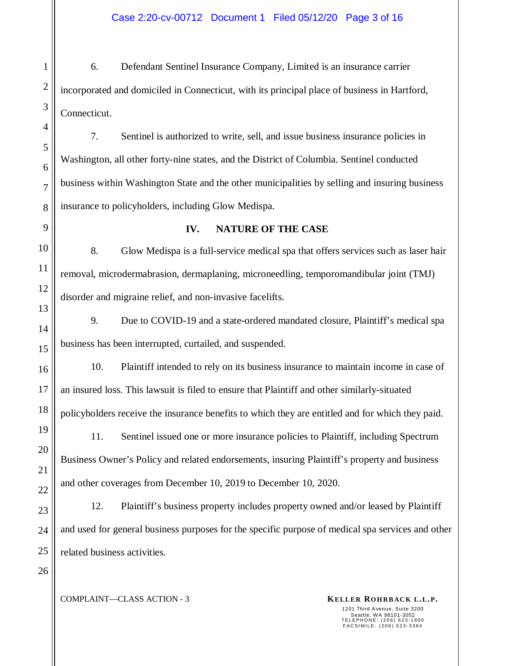6. Defendant Sentinel Insurance Company, Limited is an insurance carrier incorporated and domiciled in Connecticut, with its principal place of business in Hartford, Connecticut.

7. Sentinel is authorized to write, sell, and issue business insurance policies in Washington, all other forty-nine states, and the District of Columbia. Sentinel conducted business within Washington State and the other municipalities by selling and insuring business insurance to policyholders, including Glow Medispa.

#### **IV. NATURE OF THE CASE**

8. Glow Medispa is a full-service medical spa that offers services such as laser hair removal, microdermabrasion, dermaplaning, microneedling, temporomandibular joint (TMJ) disorder and migraine relief, and non-invasive facelifts.

9. Due to COVID-19 and a state-ordered mandated closure, Plaintiff's medical spa business has been interrupted, curtailed, and suspended.

10. Plaintiff intended to rely on its business insurance to maintain income in case of an insured loss. This lawsuit is filed to ensure that Plaintiff and other similarly-situated policyholders receive the insurance benefits to which they are entitled and for which they paid.

11. Sentinel issued one or more insurance policies to Plaintiff, including Spectrum Business Owner's Policy and related endorsements, insuring Plaintiff's property and business and other coverages from December 10, 2019 to December 10, 2020.

12. Plaintiff's business property includes property owned and/or leased by Plaintiff and used for general business purposes for the specific purpose of medical spa services and other related business activities.

**COMPLAINT—CLASS ACTION - 3 KELLER ROHRBACK L.L.P.**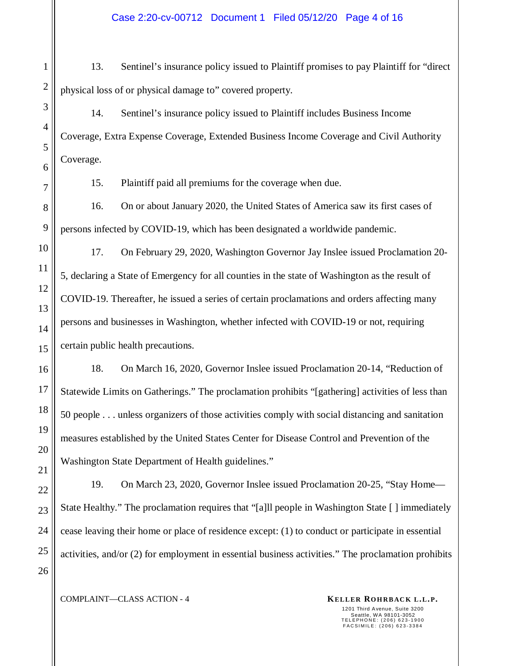13. Sentinel's insurance policy issued to Plaintiff promises to pay Plaintiff for "direct physical loss of or physical damage to" covered property.

14. Sentinel's insurance policy issued to Plaintiff includes Business Income Coverage, Extra Expense Coverage, Extended Business Income Coverage and Civil Authority Coverage.

15. Plaintiff paid all premiums for the coverage when due.

16. On or about January 2020, the United States of America saw its first cases of persons infected by COVID-19, which has been designated a worldwide pandemic.

17. On February 29, 2020, Washington Governor Jay Inslee issued Proclamation 20- 5, declaring a State of Emergency for all counties in the state of Washington as the result of COVID-19. Thereafter, he issued a series of certain proclamations and orders affecting many persons and businesses in Washington, whether infected with COVID-19 or not, requiring certain public health precautions.

18. On March 16, 2020, Governor Inslee issued Proclamation 20-14, "Reduction of Statewide Limits on Gatherings." The proclamation prohibits "[gathering] activities of less than 50 people . . . unless organizers of those activities comply with social distancing and sanitation measures established by the United States Center for Disease Control and Prevention of the Washington State Department of Health guidelines."

19. On March 23, 2020, Governor Inslee issued Proclamation 20-25, "Stay Home— State Healthy." The proclamation requires that "[a]ll people in Washington State [ ] immediately cease leaving their home or place of residence except: (1) to conduct or participate in essential activities, and/or (2) for employment in essential business activities." The proclamation prohibits

1

2

3

**COMPLAINT—CLASS ACTION - 4 KELLER ROHRBACK L.L.P.**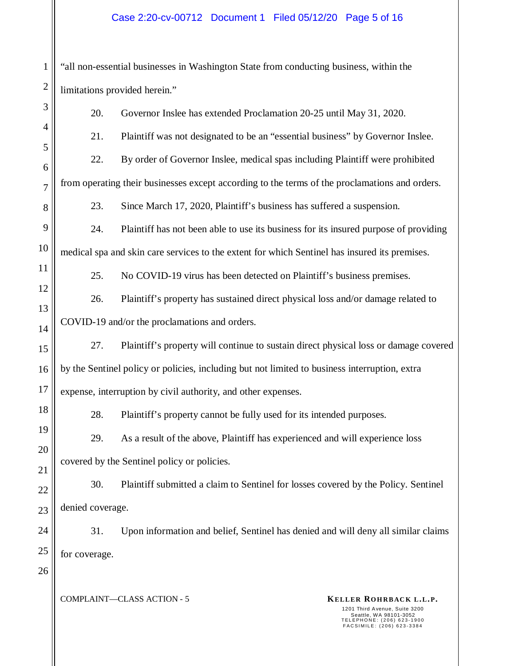#### Case 2:20-cv-00712 Document 1 Filed 05/12/20 Page 5 of 16

"all non-essential businesses in Washington State from conducting business, within the limitations provided herein."

20. Governor Inslee has extended Proclamation 20-25 until May 31, 2020.

21. Plaintiff was not designated to be an "essential business" by Governor Inslee.

22. By order of Governor Inslee, medical spas including Plaintiff were prohibited

from operating their businesses except according to the terms of the proclamations and orders.

23. Since March 17, 2020, Plaintiff's business has suffered a suspension.

24. Plaintiff has not been able to use its business for its insured purpose of providing medical spa and skin care services to the extent for which Sentinel has insured its premises.

25. No COVID-19 virus has been detected on Plaintiff's business premises.

26. Plaintiff's property has sustained direct physical loss and/or damage related to COVID-19 and/or the proclamations and orders.

27. Plaintiff's property will continue to sustain direct physical loss or damage covered by the Sentinel policy or policies, including but not limited to business interruption, extra expense, interruption by civil authority, and other expenses.

28. Plaintiff's property cannot be fully used for its intended purposes.

29. As a result of the above, Plaintiff has experienced and will experience loss covered by the Sentinel policy or policies.

30. Plaintiff submitted a claim to Sentinel for losses covered by the Policy. Sentinel denied coverage.

31. Upon information and belief, Sentinel has denied and will deny all similar claims for coverage.

26

25

1

2

3

4

5

6

7

8

9

10

11

12

13

14

15

16

17

18

19

20

21

22

23

24

**COMPLAINT—CLASS ACTION - 5 KELLER ROHRBACK L.L.P.**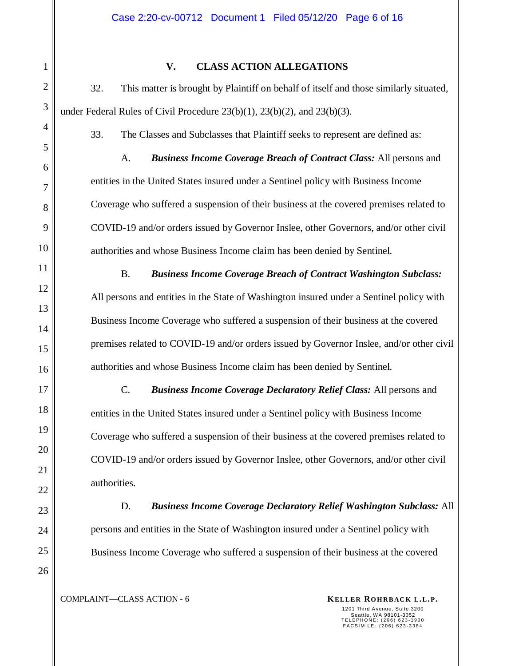#### **V. CLASS ACTION ALLEGATIONS**

32. This matter is brought by Plaintiff on behalf of itself and those similarly situated, under Federal Rules of Civil Procedure 23(b)(1), 23(b)(2), and 23(b)(3).

33. The Classes and Subclasses that Plaintiff seeks to represent are defined as:

A. *Business Income Coverage Breach of Contract Class:* All persons and entities in the United States insured under a Sentinel policy with Business Income Coverage who suffered a suspension of their business at the covered premises related to COVID-19 and/or orders issued by Governor Inslee, other Governors, and/or other civil authorities and whose Business Income claim has been denied by Sentinel.

B. *Business Income Coverage Breach of Contract Washington Subclass:* All persons and entities in the State of Washington insured under a Sentinel policy with Business Income Coverage who suffered a suspension of their business at the covered premises related to COVID-19 and/or orders issued by Governor Inslee, and/or other civil authorities and whose Business Income claim has been denied by Sentinel.

C. *Business Income Coverage Declaratory Relief Class:* All persons and entities in the United States insured under a Sentinel policy with Business Income Coverage who suffered a suspension of their business at the covered premises related to COVID-19 and/or orders issued by Governor Inslee, other Governors, and/or other civil authorities.

D. *Business Income Coverage Declaratory Relief Washington Subclass:* All persons and entities in the State of Washington insured under a Sentinel policy with Business Income Coverage who suffered a suspension of their business at the covered

**COMPLAINT—CLASS ACTION - 6 KELLER ROHRBACK L.L.P.**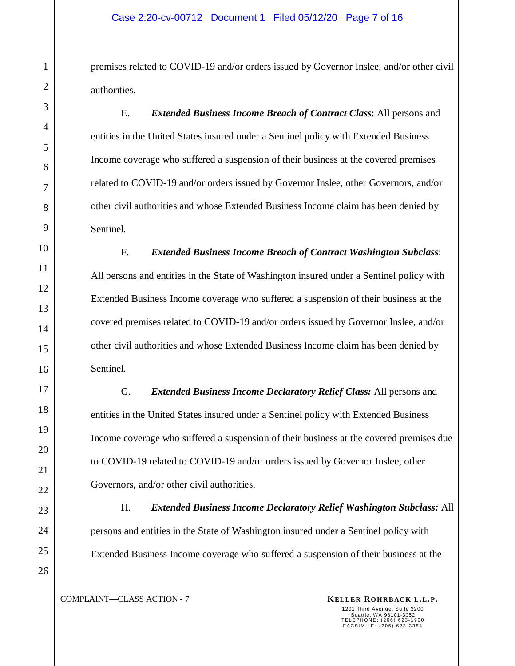premises related to COVID-19 and/or orders issued by Governor Inslee, and/or other civil authorities.

E. *Extended Business Income Breach of Contract Class*: All persons and entities in the United States insured under a Sentinel policy with Extended Business Income coverage who suffered a suspension of their business at the covered premises related to COVID-19 and/or orders issued by Governor Inslee, other Governors, and/or other civil authorities and whose Extended Business Income claim has been denied by Sentinel.

F. *Extended Business Income Breach of Contract Washington Subclass*: All persons and entities in the State of Washington insured under a Sentinel policy with Extended Business Income coverage who suffered a suspension of their business at the covered premises related to COVID-19 and/or orders issued by Governor Inslee, and/or other civil authorities and whose Extended Business Income claim has been denied by Sentinel.

G. *Extended Business Income Declaratory Relief Class:* All persons and entities in the United States insured under a Sentinel policy with Extended Business Income coverage who suffered a suspension of their business at the covered premises due to COVID-19 related to COVID-19 and/or orders issued by Governor Inslee, other Governors, and/or other civil authorities.

H. *Extended Business Income Declaratory Relief Washington Subclass:* All persons and entities in the State of Washington insured under a Sentinel policy with Extended Business Income coverage who suffered a suspension of their business at the

**COMPLAINT—CLASS ACTION - 7 KELLER ROHRBACK L.L.P.**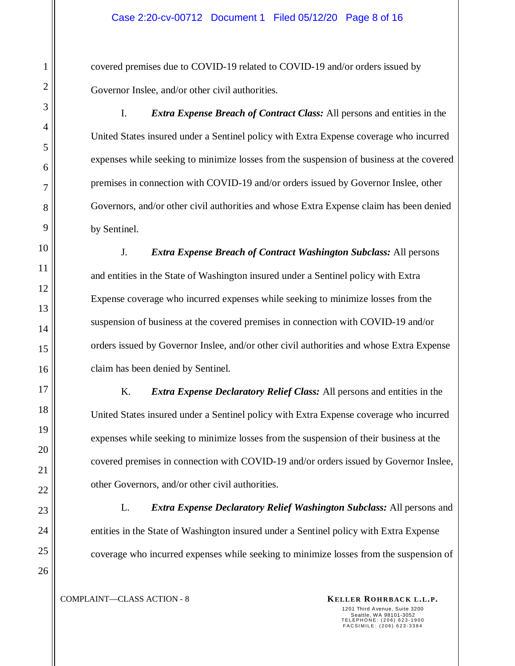covered premises due to COVID-19 related to COVID-19 and/or orders issued by Governor Inslee, and/or other civil authorities.

I. *Extra Expense Breach of Contract Class:* All persons and entities in the United States insured under a Sentinel policy with Extra Expense coverage who incurred expenses while seeking to minimize losses from the suspension of business at the covered premises in connection with COVID-19 and/or orders issued by Governor Inslee, other Governors, and/or other civil authorities and whose Extra Expense claim has been denied by Sentinel.

J. *Extra Expense Breach of Contract Washington Subclass:* All persons and entities in the State of Washington insured under a Sentinel policy with Extra Expense coverage who incurred expenses while seeking to minimize losses from the suspension of business at the covered premises in connection with COVID-19 and/or orders issued by Governor Inslee, and/or other civil authorities and whose Extra Expense claim has been denied by Sentinel.

K. *Extra Expense Declaratory Relief Class:* All persons and entities in the United States insured under a Sentinel policy with Extra Expense coverage who incurred expenses while seeking to minimize losses from the suspension of their business at the covered premises in connection with COVID-19 and/or orders issued by Governor Inslee, other Governors, and/or other civil authorities.

L. *Extra Expense Declaratory Relief Washington Subclass:* All persons and entities in the State of Washington insured under a Sentinel policy with Extra Expense coverage who incurred expenses while seeking to minimize losses from the suspension of

**COMPLAINT—CLASS ACTION - 8 KELLER ROHRBACK L.L.P.**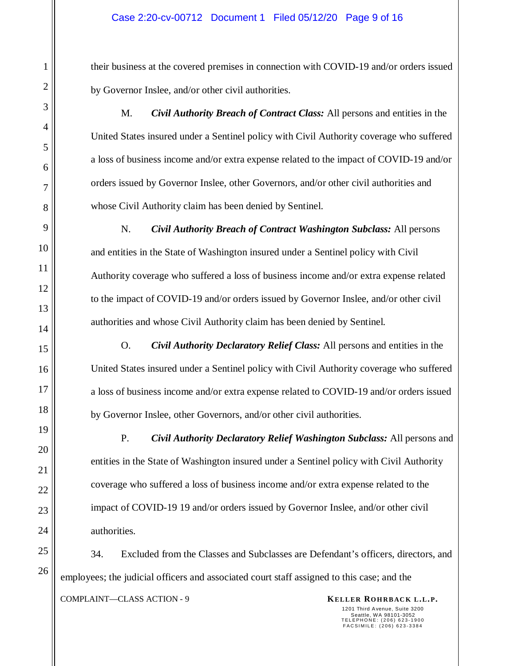their business at the covered premises in connection with COVID-19 and/or orders issued by Governor Inslee, and/or other civil authorities.

M. *Civil Authority Breach of Contract Class:* All persons and entities in the United States insured under a Sentinel policy with Civil Authority coverage who suffered a loss of business income and/or extra expense related to the impact of COVID-19 and/or orders issued by Governor Inslee, other Governors, and/or other civil authorities and whose Civil Authority claim has been denied by Sentinel.

N. *Civil Authority Breach of Contract Washington Subclass:* All persons and entities in the State of Washington insured under a Sentinel policy with Civil Authority coverage who suffered a loss of business income and/or extra expense related to the impact of COVID-19 and/or orders issued by Governor Inslee, and/or other civil authorities and whose Civil Authority claim has been denied by Sentinel.

O. *Civil Authority Declaratory Relief Class:* All persons and entities in the United States insured under a Sentinel policy with Civil Authority coverage who suffered a loss of business income and/or extra expense related to COVID-19 and/or orders issued by Governor Inslee, other Governors, and/or other civil authorities.

P. *Civil Authority Declaratory Relief Washington Subclass:* All persons and entities in the State of Washington insured under a Sentinel policy with Civil Authority coverage who suffered a loss of business income and/or extra expense related to the impact of COVID-19 19 and/or orders issued by Governor Inslee, and/or other civil authorities.

**COMPLAINT—CLASS ACTION - 9 KELLER ROHRBACK L.L.P.** 34. Excluded from the Classes and Subclasses are Defendant's officers, directors, and employees; the judicial officers and associated court staff assigned to this case; and the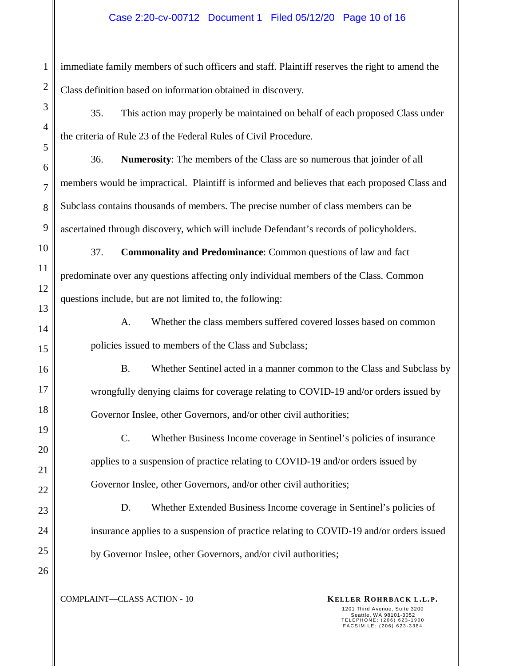#### Case 2:20-cv-00712 Document 1 Filed 05/12/20 Page 10 of 16

immediate family members of such officers and staff. Plaintiff reserves the right to amend the Class definition based on information obtained in discovery.

35. This action may properly be maintained on behalf of each proposed Class under the criteria of Rule 23 of the Federal Rules of Civil Procedure.

36. **Numerosity**: The members of the Class are so numerous that joinder of all members would be impractical. Plaintiff is informed and believes that each proposed Class and Subclass contains thousands of members. The precise number of class members can be ascertained through discovery, which will include Defendant's records of policyholders.

37. **Commonality and Predominance**: Common questions of law and fact predominate over any questions affecting only individual members of the Class. Common questions include, but are not limited to, the following:

A. Whether the class members suffered covered losses based on common policies issued to members of the Class and Subclass;

B. Whether Sentinel acted in a manner common to the Class and Subclass by wrongfully denying claims for coverage relating to COVID-19 and/or orders issued by Governor Inslee, other Governors, and/or other civil authorities;

C. Whether Business Income coverage in Sentinel's policies of insurance applies to a suspension of practice relating to COVID-19 and/or orders issued by Governor Inslee, other Governors, and/or other civil authorities;

D. Whether Extended Business Income coverage in Sentinel's policies of insurance applies to a suspension of practice relating to COVID-19 and/or orders issued by Governor Inslee, other Governors, and/or civil authorities;

**COMPLAINT—CLASS ACTION - 10 KELLER ROHRBACK L.L.P.**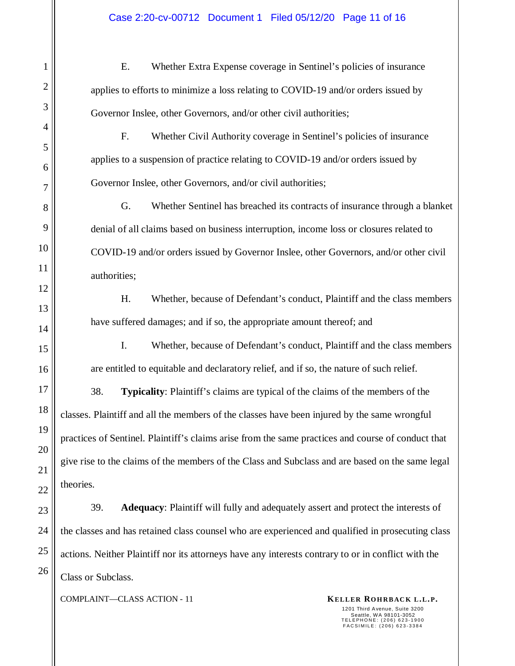E. Whether Extra Expense coverage in Sentinel's policies of insurance applies to efforts to minimize a loss relating to COVID-19 and/or orders issued by Governor Inslee, other Governors, and/or other civil authorities;

F. Whether Civil Authority coverage in Sentinel's policies of insurance applies to a suspension of practice relating to COVID-19 and/or orders issued by Governor Inslee, other Governors, and/or civil authorities;

G. Whether Sentinel has breached its contracts of insurance through a blanket denial of all claims based on business interruption, income loss or closures related to COVID-19 and/or orders issued by Governor Inslee, other Governors, and/or other civil authorities;

H. Whether, because of Defendant's conduct, Plaintiff and the class members have suffered damages; and if so, the appropriate amount thereof; and

I. Whether, because of Defendant's conduct, Plaintiff and the class members are entitled to equitable and declaratory relief, and if so, the nature of such relief.

38. **Typicality**: Plaintiff's claims are typical of the claims of the members of the classes. Plaintiff and all the members of the classes have been injured by the same wrongful practices of Sentinel. Plaintiff's claims arise from the same practices and course of conduct that give rise to the claims of the members of the Class and Subclass and are based on the same legal theories.

39. **Adequacy**: Plaintiff will fully and adequately assert and protect the interests of the classes and has retained class counsel who are experienced and qualified in prosecuting class actions. Neither Plaintiff nor its attorneys have any interests contrary to or in conflict with the Class or Subclass.

**COMPLAINT—CLASS ACTION - 11 KELLER ROHRBACK L.L.P.**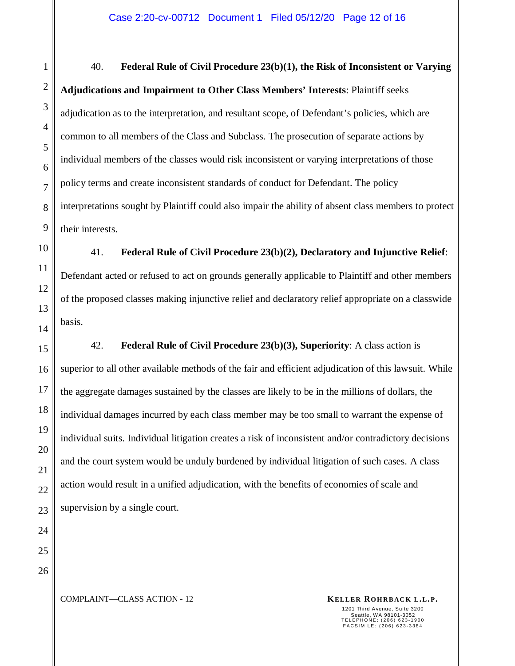40. **Federal Rule of Civil Procedure 23(b)(1), the Risk of Inconsistent or Varying Adjudications and Impairment to Other Class Members' Interests**: Plaintiff seeks adjudication as to the interpretation, and resultant scope, of Defendant's policies, which are common to all members of the Class and Subclass. The prosecution of separate actions by individual members of the classes would risk inconsistent or varying interpretations of those policy terms and create inconsistent standards of conduct for Defendant. The policy interpretations sought by Plaintiff could also impair the ability of absent class members to protect their interests.

41. **Federal Rule of Civil Procedure 23(b)(2), Declaratory and Injunctive Relief**: Defendant acted or refused to act on grounds generally applicable to Plaintiff and other members of the proposed classes making injunctive relief and declaratory relief appropriate on a classwide basis.

42. **Federal Rule of Civil Procedure 23(b)(3), Superiority**: A class action is superior to all other available methods of the fair and efficient adjudication of this lawsuit. While the aggregate damages sustained by the classes are likely to be in the millions of dollars, the individual damages incurred by each class member may be too small to warrant the expense of individual suits. Individual litigation creates a risk of inconsistent and/or contradictory decisions and the court system would be unduly burdened by individual litigation of such cases. A class action would result in a unified adjudication, with the benefits of economies of scale and supervision by a single court.

24 25 26

1

2

3

4

5

6

7

8

9

10

11

12

13

14

15

16

17

18

19

20

21

22

23

**COMPLAINT—CLASS ACTION - 12 KELLER ROHRBACK L.L.P.**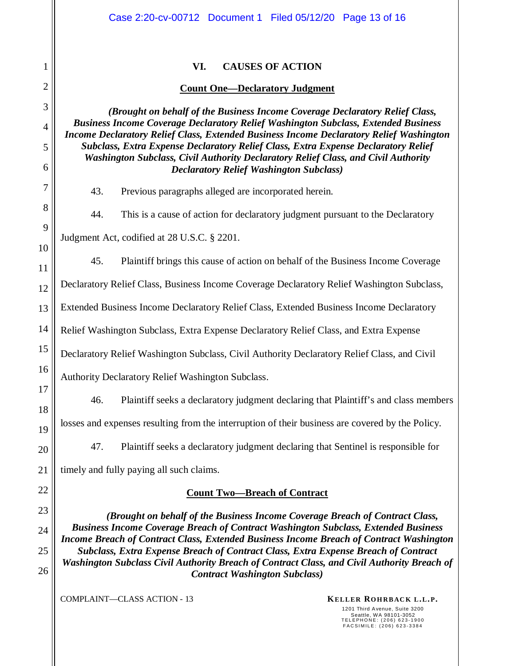|                | Case 2:20-cv-00712 Document 1 Filed 05/12/20 Page 13 of 16                                                                                                                                  |  |  |
|----------------|---------------------------------------------------------------------------------------------------------------------------------------------------------------------------------------------|--|--|
|                |                                                                                                                                                                                             |  |  |
| 1              | VI.<br><b>CAUSES OF ACTION</b>                                                                                                                                                              |  |  |
| $\overline{2}$ | <b>Count One-Declaratory Judgment</b>                                                                                                                                                       |  |  |
| 3              | (Brought on behalf of the Business Income Coverage Declaratory Relief Class,                                                                                                                |  |  |
| 4              | <b>Business Income Coverage Declaratory Relief Washington Subclass, Extended Business</b><br><b>Income Declaratory Relief Class, Extended Business Income Declaratory Relief Washington</b> |  |  |
| 5<br>6         | <b>Subclass, Extra Expense Declaratory Relief Class, Extra Expense Declaratory Relief</b><br>Washington Subclass, Civil Authority Declaratory Relief Class, and Civil Authority             |  |  |
| 7              | <b>Declaratory Relief Washington Subclass)</b>                                                                                                                                              |  |  |
| 8              | 43.<br>Previous paragraphs alleged are incorporated herein.                                                                                                                                 |  |  |
| 9              | This is a cause of action for declaratory judgment pursuant to the Declaratory<br>44.                                                                                                       |  |  |
| 10             | Judgment Act, codified at 28 U.S.C. § 2201.                                                                                                                                                 |  |  |
| 11             | 45.<br>Plaintiff brings this cause of action on behalf of the Business Income Coverage                                                                                                      |  |  |
| 12             | Declaratory Relief Class, Business Income Coverage Declaratory Relief Washington Subclass,                                                                                                  |  |  |
| 13             | Extended Business Income Declaratory Relief Class, Extended Business Income Declaratory                                                                                                     |  |  |
| 14             | Relief Washington Subclass, Extra Expense Declaratory Relief Class, and Extra Expense                                                                                                       |  |  |
| 15             | Declaratory Relief Washington Subclass, Civil Authority Declaratory Relief Class, and Civil                                                                                                 |  |  |
| 16             | Authority Declaratory Relief Washington Subclass.                                                                                                                                           |  |  |
| 17<br>18       | Plaintiff seeks a declaratory judgment declaring that Plaintiff's and class members<br>46.                                                                                                  |  |  |
| 19             | losses and expenses resulting from the interruption of their business are covered by the Policy.                                                                                            |  |  |
| 20             | Plaintiff seeks a declaratory judgment declaring that Sentinel is responsible for<br>47.                                                                                                    |  |  |
| 21             | timely and fully paying all such claims.                                                                                                                                                    |  |  |
| 22             | <b>Count Two-Breach of Contract</b>                                                                                                                                                         |  |  |
| 23             | (Brought on behalf of the Business Income Coverage Breach of Contract Class,                                                                                                                |  |  |
| 24             | <b>Business Income Coverage Breach of Contract Washington Subclass, Extended Business</b><br>Income Breach of Contract Class, Extended Business Income Breach of Contract Washington        |  |  |
| 25             | Subclass, Extra Expense Breach of Contract Class, Extra Expense Breach of Contract<br>Washington Subclass Civil Authority Breach of Contract Class, and Civil Authority Breach of           |  |  |
| 26             | <b>Contract Washington Subclass)</b>                                                                                                                                                        |  |  |
|                | <b>COMPLAINT-CLASS ACTION - 13</b><br>KELLER ROHRBACK L.L.P.                                                                                                                                |  |  |

1201 Third Avenue, Suite 3200 Seattle, WA 98101-3052 T E L E P H O N E : ( 2 0 6 ) 6 2 3 - 1 9 0 0 F A C S I M I L E : ( 2 0 6 ) 6 2 3 - 3 3 8 4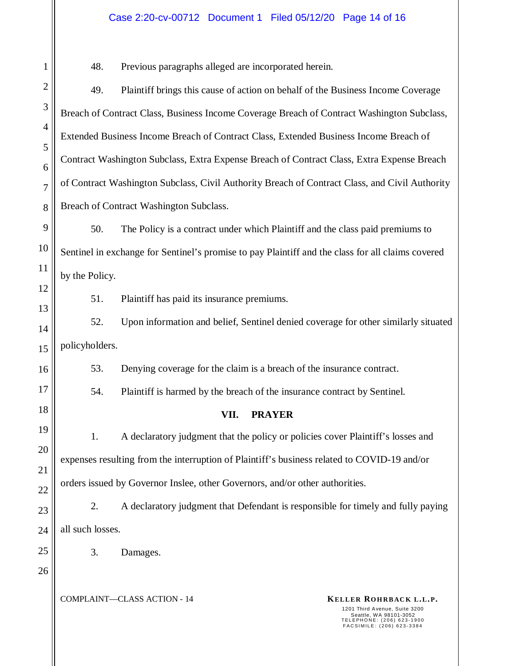#### Case 2:20-cv-00712 Document 1 Filed 05/12/20 Page 14 of 16

48. Previous paragraphs alleged are incorporated herein.

49. Plaintiff brings this cause of action on behalf of the Business Income Coverage Breach of Contract Class, Business Income Coverage Breach of Contract Washington Subclass, Extended Business Income Breach of Contract Class, Extended Business Income Breach of Contract Washington Subclass, Extra Expense Breach of Contract Class, Extra Expense Breach of Contract Washington Subclass, Civil Authority Breach of Contract Class, and Civil Authority Breach of Contract Washington Subclass.

50. The Policy is a contract under which Plaintiff and the class paid premiums to Sentinel in exchange for Sentinel's promise to pay Plaintiff and the class for all claims covered by the Policy.

51. Plaintiff has paid its insurance premiums.

52. Upon information and belief, Sentinel denied coverage for other similarly situated policyholders.

53. Denying coverage for the claim is a breach of the insurance contract.

54. Plaintiff is harmed by the breach of the insurance contract by Sentinel.

### **VII. PRAYER**

1. A declaratory judgment that the policy or policies cover Plaintiff's losses and expenses resulting from the interruption of Plaintiff's business related to COVID-19 and/or orders issued by Governor Inslee, other Governors, and/or other authorities.

2. A declaratory judgment that Defendant is responsible for timely and fully paying all such losses.

3. Damages.

1

2

3

4

5

6

7

8

9

10

11

12

13

14

15

16

17

18

19

20

21

22

23

24

25

26

**COMPLAINT—CLASS ACTION - 14 KELLER ROHRBACK L.L.P.**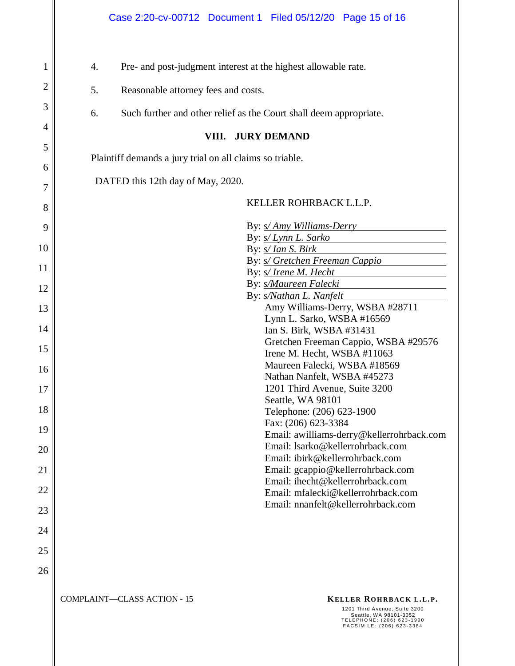4. Pre- and post-judgment interest at the highest allowable rate.

5. Reasonable attorney fees and costs.

1

2

3

4

5

6

7

8

9

10

11

12

13

14

15

16

17

18

19

20

21

22

23

24

25

26

6. Such further and other relief as the Court shall deem appropriate.

### **VIII. JURY DEMAND**

Plaintiff demands a jury trial on all claims so triable.

DATED this 12th day of May, 2020.

#### **StandardSig** KELLER ROHRBACK L.L.P.

|                             | By: <i>s/Amy Williams-Derry</i><br>By: s/ Lynn L. Sarko<br>By: <i>s/ Ian S. Birk</i><br>By: <i>s/ Gretchen Freeman Cappio</i><br>By: s/ Irene M. Hecht<br>By: s/Maureen Falecki<br>By: s/Nathan L. Nanfelt<br>Amy Williams-Derry, WSBA #28711<br>Lynn L. Sarko, WSBA #16569<br>Ian S. Birk, WSBA #31431<br>Gretchen Freeman Cappio, WSBA #29576<br>Irene M. Hecht, WSBA #11063<br>Maureen Falecki, WSBA #18569<br>Nathan Nanfelt, WSBA #45273<br>1201 Third Avenue, Suite 3200<br>Seattle, WA 98101<br>Telephone: (206) 623-1900<br>Fax: (206) 623-3384<br>Email: awilliams-derry@kellerrohrback.com<br>Email: Isarko@kellerrohrback.com<br>Email: ibirk@kellerrohrback.com<br>Email: gcappio@kellerrohrback.com<br>Email: ihecht@kellerrohrback.com<br>Email: mfalecki@kellerrohrback.com<br>Email: nnanfelt@kellerrohrback.com |
|-----------------------------|----------------------------------------------------------------------------------------------------------------------------------------------------------------------------------------------------------------------------------------------------------------------------------------------------------------------------------------------------------------------------------------------------------------------------------------------------------------------------------------------------------------------------------------------------------------------------------------------------------------------------------------------------------------------------------------------------------------------------------------------------------------------------------------------------------------------------------|
| COMPLAINT—CLASS ACTION - 15 | KELLER ROHRBACK L.L.P.<br>1201 Third Avenue, Suite 3200<br>Seattle, WA 98101-3052<br>TELEPHONE: (206) 623-1900<br>FACSIMILE: (206) 623-3384                                                                                                                                                                                                                                                                                                                                                                                                                                                                                                                                                                                                                                                                                      |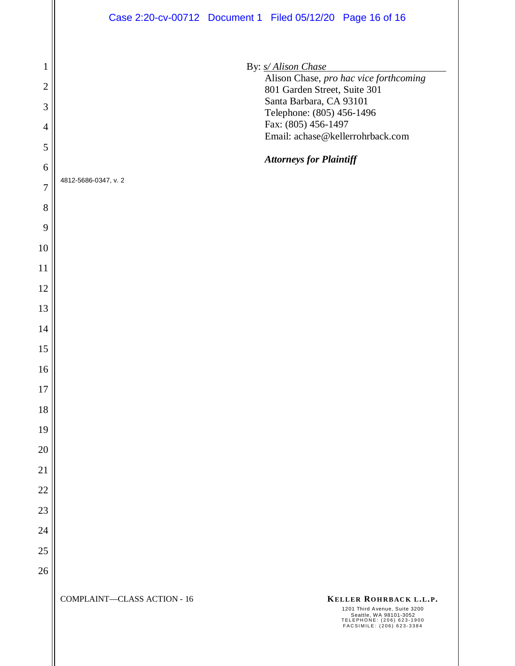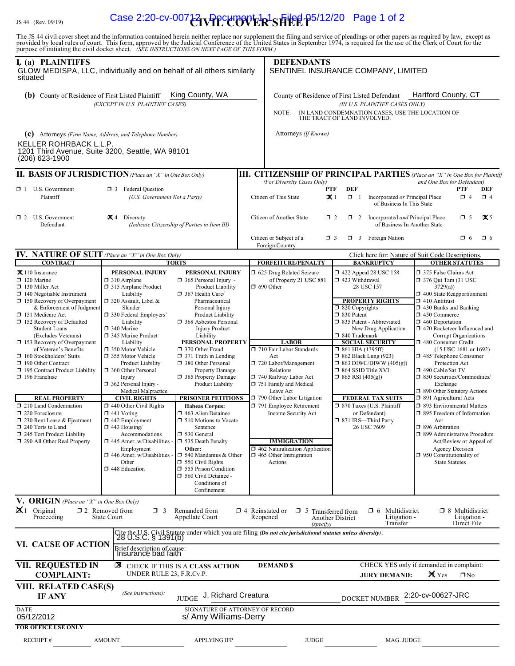# $\mathcal{H}_{\rm{H}}$   $\mathcal{H}_{\rm{H}}$   $\mathcal{H}_{\rm{H}}$   $\mathcal{H}_{\rm{H}}$   $\mathcal{H}_{\rm{H}}$   $\mathcal{H}_{\rm{H}}$   $\mathcal{H}_{\rm{H}}$   $\mathcal{H}_{\rm{H}}$   $\mathcal{H}_{\rm{H}}$   $\mathcal{H}_{\rm{H}}$   $\mathcal{H}_{\rm{H}}$   $\mathcal{H}_{\rm{H}}$   $\mathcal{H}_{\rm{H}}$   $\mathcal{H}_{\rm{H}}$   $\mathcal{H}_{\rm{H}}$   $\mathcal{H}_{\rm{H$

The JS 44 civil cover sheet and the information contained herein neither replace nor supplement the filing and service of pleadings or other papers as required by law, except as provided by local rules of court. This form,

| I. (a) PLAINTIFFS<br>GLOW MEDISPA, LLC, individually and on behalf of all others similarly<br>situated                                                                                                                                                                                                                                                                                                                                                                                                                                                                                                                                                                                     |                                                                                                                                                                                                                                                                                                                                                                                                                                                                                                                                                                                                                                                 |                                                                                                                                                                                                                                                                                                                                                                                                                                                                                                                                                                                                                                                                                                                | <b>DEFENDANTS</b>                                                                                                                                                                                                                                                                                                                                                                                                                                 | SENTINEL INSURANCE COMPANY, LIMITED                                                                                                                                                                                                                                                                                                                                                                                                                                                                                      |                                                                                                                                                                                                                                                                                                                                                                                                                                                                                                                                                                                                                                                                                                                                                             |  |
|--------------------------------------------------------------------------------------------------------------------------------------------------------------------------------------------------------------------------------------------------------------------------------------------------------------------------------------------------------------------------------------------------------------------------------------------------------------------------------------------------------------------------------------------------------------------------------------------------------------------------------------------------------------------------------------------|-------------------------------------------------------------------------------------------------------------------------------------------------------------------------------------------------------------------------------------------------------------------------------------------------------------------------------------------------------------------------------------------------------------------------------------------------------------------------------------------------------------------------------------------------------------------------------------------------------------------------------------------------|----------------------------------------------------------------------------------------------------------------------------------------------------------------------------------------------------------------------------------------------------------------------------------------------------------------------------------------------------------------------------------------------------------------------------------------------------------------------------------------------------------------------------------------------------------------------------------------------------------------------------------------------------------------------------------------------------------------|---------------------------------------------------------------------------------------------------------------------------------------------------------------------------------------------------------------------------------------------------------------------------------------------------------------------------------------------------------------------------------------------------------------------------------------------------|--------------------------------------------------------------------------------------------------------------------------------------------------------------------------------------------------------------------------------------------------------------------------------------------------------------------------------------------------------------------------------------------------------------------------------------------------------------------------------------------------------------------------|-------------------------------------------------------------------------------------------------------------------------------------------------------------------------------------------------------------------------------------------------------------------------------------------------------------------------------------------------------------------------------------------------------------------------------------------------------------------------------------------------------------------------------------------------------------------------------------------------------------------------------------------------------------------------------------------------------------------------------------------------------------|--|
| King County, WA<br><b>(b)</b> County of Residence of First Listed Plaintiff<br>(EXCEPT IN U.S. PLAINTIFF CASES)                                                                                                                                                                                                                                                                                                                                                                                                                                                                                                                                                                            |                                                                                                                                                                                                                                                                                                                                                                                                                                                                                                                                                                                                                                                 |                                                                                                                                                                                                                                                                                                                                                                                                                                                                                                                                                                                                                                                                                                                | NOTE:                                                                                                                                                                                                                                                                                                                                                                                                                                             | Hartford County, CT<br>County of Residence of First Listed Defendant<br>(IN U.S. PLAINTIFF CASES ONLY)<br>IN LAND CONDEMNATION CASES, USE THE LOCATION OF THE TRACT OF LAND INVOLVED.                                                                                                                                                                                                                                                                                                                                    |                                                                                                                                                                                                                                                                                                                                                                                                                                                                                                                                                                                                                                                                                                                                                             |  |
| <b>KELLER ROHRBACK L.L.P.</b><br>1201 Third Avenue, Suite 3200, Seattle, WA 98101<br>$(206)$ 623-1900                                                                                                                                                                                                                                                                                                                                                                                                                                                                                                                                                                                      | (C) Attorneys (Firm Name, Address, and Telephone Number)                                                                                                                                                                                                                                                                                                                                                                                                                                                                                                                                                                                        |                                                                                                                                                                                                                                                                                                                                                                                                                                                                                                                                                                                                                                                                                                                | Attorneys (If Known)                                                                                                                                                                                                                                                                                                                                                                                                                              |                                                                                                                                                                                                                                                                                                                                                                                                                                                                                                                          |                                                                                                                                                                                                                                                                                                                                                                                                                                                                                                                                                                                                                                                                                                                                                             |  |
| <b>II. BASIS OF JURISDICTION</b> (Place an "X" in One Box Only)                                                                                                                                                                                                                                                                                                                                                                                                                                                                                                                                                                                                                            |                                                                                                                                                                                                                                                                                                                                                                                                                                                                                                                                                                                                                                                 |                                                                                                                                                                                                                                                                                                                                                                                                                                                                                                                                                                                                                                                                                                                |                                                                                                                                                                                                                                                                                                                                                                                                                                                   |                                                                                                                                                                                                                                                                                                                                                                                                                                                                                                                          | <b>III. CITIZENSHIP OF PRINCIPAL PARTIES</b> (Place an "X" in One Box for Plaintiff                                                                                                                                                                                                                                                                                                                                                                                                                                                                                                                                                                                                                                                                         |  |
| $\Box$ 1 U.S. Government<br>Plaintiff                                                                                                                                                                                                                                                                                                                                                                                                                                                                                                                                                                                                                                                      | <b>3</b> Federal Question<br>(U.S. Government Not a Party)                                                                                                                                                                                                                                                                                                                                                                                                                                                                                                                                                                                      |                                                                                                                                                                                                                                                                                                                                                                                                                                                                                                                                                                                                                                                                                                                | (For Diversity Cases Only)<br><b>PTF</b><br>Citizen of This State<br>$\mathbf{X}$ 1                                                                                                                                                                                                                                                                                                                                                               | <b>DEF</b><br>Incorporated or Principal Place<br>$\Box$ 1<br>of Business In This State                                                                                                                                                                                                                                                                                                                                                                                                                                   | and One Box for Defendant)<br>PTF<br>DEF<br>$\Box$ 4<br>$\Box$ 4                                                                                                                                                                                                                                                                                                                                                                                                                                                                                                                                                                                                                                                                                            |  |
| $\Box$ 2 U.S. Government<br>Defendant                                                                                                                                                                                                                                                                                                                                                                                                                                                                                                                                                                                                                                                      | $\mathbf{X}$ 4 Diversity<br>(Indicate Citizenship of Parties in Item III)                                                                                                                                                                                                                                                                                                                                                                                                                                                                                                                                                                       |                                                                                                                                                                                                                                                                                                                                                                                                                                                                                                                                                                                                                                                                                                                | Citizen of Another State                                                                                                                                                                                                                                                                                                                                                                                                                          | $\Box$ 2<br>$\Box$ 2 Incorporated <i>and</i> Principal Place<br>of Business In Another State                                                                                                                                                                                                                                                                                                                                                                                                                             | $\mathbf{X}$ 5<br>$\Box$ 5                                                                                                                                                                                                                                                                                                                                                                                                                                                                                                                                                                                                                                                                                                                                  |  |
|                                                                                                                                                                                                                                                                                                                                                                                                                                                                                                                                                                                                                                                                                            |                                                                                                                                                                                                                                                                                                                                                                                                                                                                                                                                                                                                                                                 |                                                                                                                                                                                                                                                                                                                                                                                                                                                                                                                                                                                                                                                                                                                | Citizen or Subject of a<br>Foreign Country                                                                                                                                                                                                                                                                                                                                                                                                        | Foreign Nation<br>$\Box$ 3<br>$\Box$ 3                                                                                                                                                                                                                                                                                                                                                                                                                                                                                   | $\Box$ 6<br>$\Box$ 6                                                                                                                                                                                                                                                                                                                                                                                                                                                                                                                                                                                                                                                                                                                                        |  |
| <b>IV. NATURE OF SUIT</b> (Place an "X" in One Box Only)                                                                                                                                                                                                                                                                                                                                                                                                                                                                                                                                                                                                                                   |                                                                                                                                                                                                                                                                                                                                                                                                                                                                                                                                                                                                                                                 |                                                                                                                                                                                                                                                                                                                                                                                                                                                                                                                                                                                                                                                                                                                |                                                                                                                                                                                                                                                                                                                                                                                                                                                   |                                                                                                                                                                                                                                                                                                                                                                                                                                                                                                                          | Click here for: Nature of Suit Code Descriptions.                                                                                                                                                                                                                                                                                                                                                                                                                                                                                                                                                                                                                                                                                                           |  |
| <b>CONTRACT</b><br>$\mathbf{\times}$ 110 Insurance<br>$\Box$ 120 Marine<br>$\Box$ 130 Miller Act<br>$\Box$ 140 Negotiable Instrument<br>$\Box$ 150 Recovery of Overpayment<br>& Enforcement of Judgment<br>151 Medicare Act<br>$\Box$ 152 Recovery of Defaulted<br><b>Student Loans</b><br>(Excludes Veterans)<br>$\Box$ 153 Recovery of Overpayment<br>of Veteran's Benefits<br>$\Box$ 160 Stockholders' Suits<br>190 Other Contract<br>195 Contract Product Liability<br>$\Box$ 196 Franchise<br><b>REAL PROPERTY</b><br>210 Land Condemnation<br>220 Foreclosure<br>$\Box$ 230 Rent Lease & Ejectment<br>240 Torts to Land<br>245 Tort Product Liability<br>290 All Other Real Property | <b>TORTS</b><br>PERSONAL INJURY<br>$\Box$ 310 Airplane<br>315 Airplane Product<br>Liability<br>$\Box$ 320 Assault, Libel &<br>Slander<br>□ 330 Federal Employers'<br>Liability<br>340 Marine<br>345 Marine Product<br>Liability<br>□ 350 Motor Vehicle<br>□ 355 Motor Vehicle<br><b>Product Liability</b><br>360 Other Personal<br>Injury<br>362 Personal Injury -<br>Medical Malpractice<br><b>CIVIL RIGHTS</b><br>$\Box$ 440 Other Civil Rights<br>$\Box$ 441 Voting<br>$\Box$ 442 Employment<br>$\Box$ 443 Housing/<br>Accommodations<br>445 Amer. w/Disabilities<br>Employment<br>$\Box$ 446 Amer. w/Disabilities<br>Other<br>448 Education | <b>PERSONAL INJURY</b><br>$\Box$ 365 Personal Injury -<br>Product Liability<br>367 Health Care/<br>Pharmaceutical<br>Personal Injury<br>Product Liability<br>□ 368 Asbestos Personal<br><b>Injury Product</b><br>Liability<br>PERSONAL PROPERTY<br>□ 370 Other Fraud<br>$\Box$ 371 Truth in Lending<br>380 Other Personal<br>Property Damage<br>□ 385 Property Damage<br>Product Liability<br><b>PRISONER PETITIONS</b><br><b>Habeas Corpus:</b><br>1 463 Alien Detainee<br>$\Box$ 510 Motions to Vacate<br>Sentence<br>□ 530 General<br>535 Death Penalty<br>Other:<br>$\Box$ 540 Mandamus & Other<br>$\Box$ 550 Civil Rights<br>555 Prison Condition<br>560 Civil Detainee -<br>Conditions of<br>Confinement | <b>FORFEITURE/PENALTY</b><br>□ 625 Drug Related Seizure<br>of Property 21 USC 881<br>$\Box$ 690 Other<br><b>LABOR</b><br>710 Fair Labor Standards<br>Act<br>720 Labor/Management<br>Relations<br>740 Railway Labor Act<br>751 Family and Medical<br>Leave Act<br>790 Other Labor Litigation<br>791 Employee Retirement<br>Income Security Act<br><b>IMMIGRATION</b><br>1462 Naturalization Application<br>$\Box$ 465 Other Immigration<br>Actions | <b>BANKRUPTCY</b><br>$\Box$ 422 Appeal 28 USC 158<br>1 423 Withdrawal<br>28 USC 157<br><b>PROPERTY RIGHTS</b><br>$\Box$ 820 Copyrights<br>30 Patent<br>335 Patent - Abbreviated<br>New Drug Application<br>□ 840 Trademark<br><b>SOCIAL SECURITY</b><br>$\Box$ 861 HIA (1395ff)<br><b>1 862 Black Lung (923)</b><br>$\Box$ 863 DIWC/DIWW (405(g))<br>□ 864 SSID Title XVI<br>$\Box$ 865 RSI (405(g))<br><b>FEDERAL TAX SUITS</b><br>□ 870 Taxes (U.S. Plaintiff<br>or Defendant)<br>□ 871 IRS-Third Party<br>26 USC 7609 | <b>OTHER STATUTES</b><br>375 False Claims Act<br>□ 376 Qui Tam (31 USC<br>3729(a)<br>400 State Reapportionment<br>$\Box$ 410 Antitrust<br>$\Box$ 430 Banks and Banking<br>$\Box$ 450 Commerce<br>$\Box$ 460 Deportation<br>□ 470 Racketeer Influenced and<br>Corrupt Organizations<br>□ 480 Consumer Credit<br>(15 USC 1681 or 1692)<br>485 Telephone Consumer<br>Protection Act<br>□ 490 Cable/Sat TV<br>□ 850 Securities/Commodities/<br>Exchange<br>390 Other Statutory Actions<br>□ 891 Agricultural Acts<br>□ 893 Environmental Matters<br>□ 895 Freedom of Information<br>Act<br>□ 896 Arbitration<br>□ 899 Administrative Procedure<br>Act/Review or Appeal of<br><b>Agency Decision</b><br>$\Box$ 950 Constitutionality of<br><b>State Statutes</b> |  |
| V. ORIGIN (Place an "X" in One Box Only)<br>$\mathbf{X}$ 1 Original<br>Proceeding                                                                                                                                                                                                                                                                                                                                                                                                                                                                                                                                                                                                          | $\Box$ 2 Removed from<br>$\Box$ 3<br>State Court                                                                                                                                                                                                                                                                                                                                                                                                                                                                                                                                                                                                | Remanded from<br>Appellate Court                                                                                                                                                                                                                                                                                                                                                                                                                                                                                                                                                                                                                                                                               | $\Box$ 4 Reinstated or<br>$\square$ 5<br>Reopened<br>(specify)                                                                                                                                                                                                                                                                                                                                                                                    | Multidistrict<br>$\Box$ 6<br>Transferred from<br>Litigation -<br><b>Another District</b><br>Transfer                                                                                                                                                                                                                                                                                                                                                                                                                     | $\Box$ 8 Multidistrict<br>Litigation -<br>Direct File                                                                                                                                                                                                                                                                                                                                                                                                                                                                                                                                                                                                                                                                                                       |  |
| VI. CAUSE OF ACTION                                                                                                                                                                                                                                                                                                                                                                                                                                                                                                                                                                                                                                                                        | Brief description of cause:<br>Insurance bad faith                                                                                                                                                                                                                                                                                                                                                                                                                                                                                                                                                                                              |                                                                                                                                                                                                                                                                                                                                                                                                                                                                                                                                                                                                                                                                                                                | Cite the U.S. Civil Statute under which you are filing (Do not cite jurisdictional statutes unless diversity):<br>28 U.S.C. § 1391(b)                                                                                                                                                                                                                                                                                                             |                                                                                                                                                                                                                                                                                                                                                                                                                                                                                                                          |                                                                                                                                                                                                                                                                                                                                                                                                                                                                                                                                                                                                                                                                                                                                                             |  |
| VII. REQUESTED IN<br><b>COMPLAINT:</b>                                                                                                                                                                                                                                                                                                                                                                                                                                                                                                                                                                                                                                                     | <b>EX</b> CHECK IF THIS IS A CLASS ACTION<br>UNDER RULE 23, F.R.Cv.P.                                                                                                                                                                                                                                                                                                                                                                                                                                                                                                                                                                           |                                                                                                                                                                                                                                                                                                                                                                                                                                                                                                                                                                                                                                                                                                                | <b>DEMAND \$</b>                                                                                                                                                                                                                                                                                                                                                                                                                                  | <b>JURY DEMAND:</b>                                                                                                                                                                                                                                                                                                                                                                                                                                                                                                      | CHECK YES only if demanded in complaint:<br>X Yes<br>$\Box$ No                                                                                                                                                                                                                                                                                                                                                                                                                                                                                                                                                                                                                                                                                              |  |
| VIII. RELATED CASE(S)<br><b>IF ANY</b>                                                                                                                                                                                                                                                                                                                                                                                                                                                                                                                                                                                                                                                     | (See instructions):                                                                                                                                                                                                                                                                                                                                                                                                                                                                                                                                                                                                                             | JUDGE J. Richard Creatura                                                                                                                                                                                                                                                                                                                                                                                                                                                                                                                                                                                                                                                                                      |                                                                                                                                                                                                                                                                                                                                                                                                                                                   | <b>DOCKET NUMBER</b>                                                                                                                                                                                                                                                                                                                                                                                                                                                                                                     | 2:20-cv-00627-JRC                                                                                                                                                                                                                                                                                                                                                                                                                                                                                                                                                                                                                                                                                                                                           |  |
| <b>DATE</b><br>05/12/2012                                                                                                                                                                                                                                                                                                                                                                                                                                                                                                                                                                                                                                                                  |                                                                                                                                                                                                                                                                                                                                                                                                                                                                                                                                                                                                                                                 | SIGNATURE OF ATTORNEY OF RECORD<br>s/ Amy Williams-Derry                                                                                                                                                                                                                                                                                                                                                                                                                                                                                                                                                                                                                                                       |                                                                                                                                                                                                                                                                                                                                                                                                                                                   |                                                                                                                                                                                                                                                                                                                                                                                                                                                                                                                          |                                                                                                                                                                                                                                                                                                                                                                                                                                                                                                                                                                                                                                                                                                                                                             |  |
| <b>FOR OFFICE USE ONLY</b><br>RECEIPT#                                                                                                                                                                                                                                                                                                                                                                                                                                                                                                                                                                                                                                                     | <b>AMOUNT</b>                                                                                                                                                                                                                                                                                                                                                                                                                                                                                                                                                                                                                                   | <b>APPLYING IFP</b>                                                                                                                                                                                                                                                                                                                                                                                                                                                                                                                                                                                                                                                                                            | <b>JUDGE</b>                                                                                                                                                                                                                                                                                                                                                                                                                                      | MAG. JUDGE                                                                                                                                                                                                                                                                                                                                                                                                                                                                                                               |                                                                                                                                                                                                                                                                                                                                                                                                                                                                                                                                                                                                                                                                                                                                                             |  |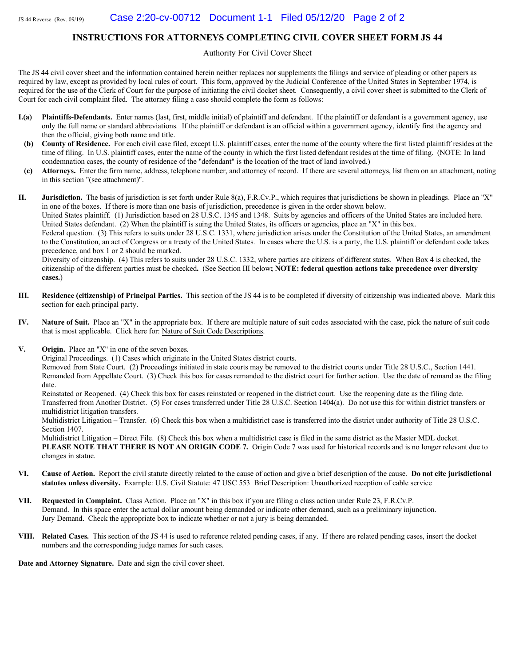#### INSTRUCTIONS FOR ATTORNEYS COMPLETING CIVIL COVER SHEET FORM JS 44

Authority For Civil Cover Sheet

The JS 44 civil cover sheet and the information contained herein neither replaces nor supplements the filings and service of pleading or other papers as required by law, except as provided by local rules of court. This form, approved by the Judicial Conference of the United States in September 1974, is required for the use of the Clerk of Court for the purpose of initiating the civil docket sheet. Consequently, a civil cover sheet is submitted to the Clerk of Court for each civil complaint filed. The attorney filing a case should complete the form as follows:

- **I.(a)** Plaintiffs-Defendants. Enter names (last, first, middle initial) of plaintiff and defendant. If the plaintiff or defendant is a government agency, use only the full name or standard abbreviations. If the plaintiff or defendant is an official within a government agency, identify first the agency and then the official, giving both name and title.
- (b) County of Residence. For each civil case filed, except U.S. plaintiff cases, enter the name of the county where the first listed plaintiff resides at the time of filing. In U.S. plaintiff cases, enter the name of the county in which the first listed defendant resides at the time of filing. (NOTE: In land condemnation cases, the county of residence of the "defendant" is the location of the tract of land involved.)
- (c) Attorneys. Enter the firm name, address, telephone number, and attorney of record. If there are several attorneys, list them on an attachment, noting in this section "(see attachment)".

**II.** Jurisdiction. The basis of jurisdiction is set forth under Rule 8(a), F.R.Cv.P., which requires that jurisdictions be shown in pleadings. Place an "X" in one of the boxes. If there is more than one basis of jurisdiction, precedence is given in the order shown below.

United States plaintiff. (1) Jurisdiction based on 28 U.S.C. 1345 and 1348. Suits by agencies and officers of the United States are included here. United States defendant. (2) When the plaintiff is suing the United States, its officers or agencies, place an "X" in this box.

Federal question. (3) This refers to suits under 28 U.S.C. 1331, where jurisdiction arises under the Constitution of the United States, an amendment to the Constitution, an act of Congress or a treaty of the United States. In cases where the U.S. is a party, the U.S. plaintiff or defendant code takes precedence, and box 1 or 2 should be marked.

Diversity of citizenship. (4) This refers to suits under 28 U.S.C. 1332, where parties are citizens of different states. When Box 4 is checked, the citizenship of the different parties must be checked. (See Section III below; NOTE: federal question actions take precedence over diversity cases.)

- III. Residence (citizenship) of Principal Parties. This section of the JS 44 is to be completed if diversity of citizenship was indicated above. Mark this section for each principal party.
- IV. Nature of Suit. Place an "X" in the appropriate box. If there are multiple nature of suit codes associated with the case, pick the nature of suit code that is most applicable. Click here for: Nature of Suit Code Descriptions.
- V. Origin. Place an "X" in one of the seven boxes.

Original Proceedings. (1) Cases which originate in the United States district courts.

Removed from State Court. (2) Proceedings initiated in state courts may be removed to the district courts under Title 28 U.S.C., Section 1441. Remanded from Appellate Court. (3) Check this box for cases remanded to the district court for further action. Use the date of remand as the filing date.

Reinstated or Reopened. (4) Check this box for cases reinstated or reopened in the district court. Use the reopening date as the filing date. Transferred from Another District. (5) For cases transferred under Title 28 U.S.C. Section 1404(a). Do not use this for within district transfers or multidistrict litigation transfers.

Multidistrict Litigation – Transfer. (6) Check this box when a multidistrict case is transferred into the district under authority of Title 28 U.S.C. Section  $1407$ .

Multidistrict Litigation – Direct File. (8) Check this box when a multidistrict case is filed in the same district as the Master MDL docket. PLEASE NOTE THAT THERE IS NOT AN ORIGIN CODE 7. Origin Code 7 was used for historical records and is no longer relevant due to changes in statue.

- VI. Cause of Action. Report the civil statute directly related to the cause of action and give a brief description of the cause. Do not cite jurisdictional statutes unless diversity. Example: U.S. Civil Statute: 47 USC 553 Brief Description: Unauthorized reception of cable service
- VII. Requested in Complaint. Class Action. Place an "X" in this box if you are filing a class action under Rule 23, F.R.Cv.P. Demand. In this space enter the actual dollar amount being demanded or indicate other demand, such as a preliminary injunction. Jury Demand. Check the appropriate box to indicate whether or not a jury is being demanded.
- VIII. Related Cases. This section of the JS 44 is used to reference related pending cases, if any. If there are related pending cases, insert the docket numbers and the corresponding judge names for such cases.

Date and Attorney Signature. Date and sign the civil cover sheet.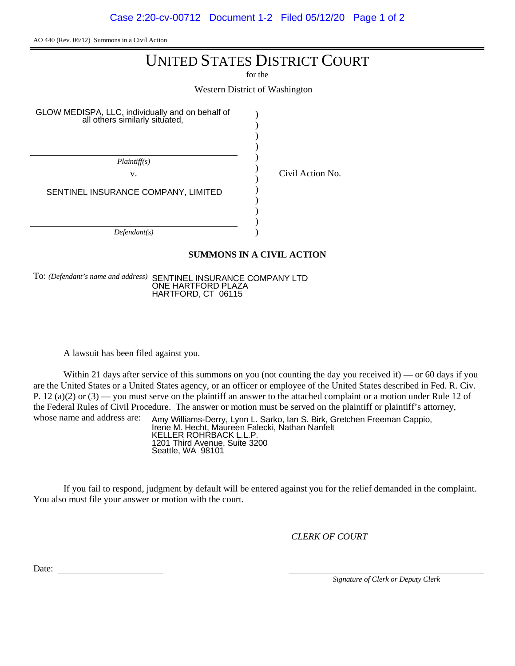Case 2:20-cv-00712 Document 1-2 Filed 05/12/20 Page 1 of 2

AO 440 (Rev. 06/12) Summons in a Civil Action

## UNITED STATES DISTRICT COURT

for the

Western District of Washington

)

GLOW MEDISPA, LLC, individually and on behalf of all others similarly situated,

Civil Action No.

**SUMMONS IN A CIVIL ACTION**

To: *(Defendant's name and address)* SENTINEL INSURANCE COMPANY LTD ONE HARTFORD PLAZA HARTFORD, CT 06115

A lawsuit has been filed against you.

Within 21 days after service of this summons on you (not counting the day you received it) — or 60 days if you are the United States or a United States agency, or an officer or employee of the United States described in Fed. R. Civ. P. 12 (a)(2) or (3) — you must serve on the plaintiff an answer to the attached complaint or a motion under Rule 12 of the Federal Rules of Civil Procedure. The answer or motion must be served on the plaintiff or plaintiff's attorney, whose name and address are:

Amy Williams-Derry, Lynn L. Sarko, Ian S. Birk, Gretchen Freeman Cappio, Irene M. Hecht, Maureen Falecki, Nathan Nanfelt KELLER ROHRBACK L.L.P. 1201 Third Avenue, Suite 3200 Seattle, WA 98101

If you fail to respond, judgment by default will be entered against you for the relief demanded in the complaint. You also must file your answer or motion with the court.

*CLERK OF COURT*

Date:

*Signature of Clerk or Deputy Clerk*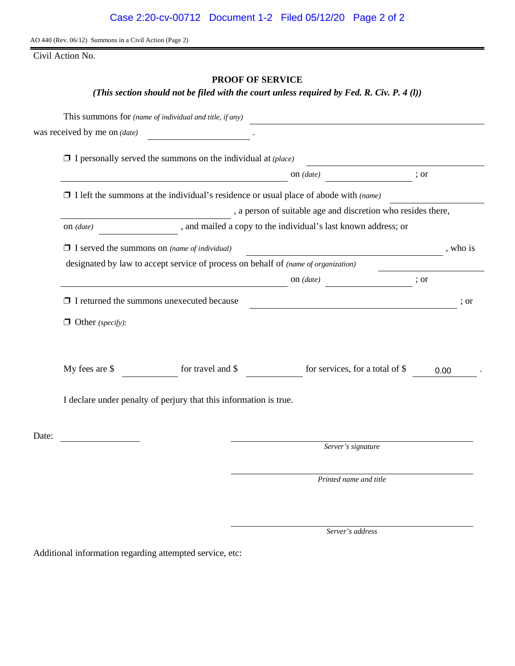AO 440 (Rev. 06/12) Summons in a Civil Action (Page 2)

Civil Action No.

#### **PROOF OF SERVICE**

#### *(This section should not be filed with the court unless required by Fed. R. Civ. P. 4 (l))*

| was received by me on (date)                                                       |                                                                                             |                                                              |          |  |
|------------------------------------------------------------------------------------|---------------------------------------------------------------------------------------------|--------------------------------------------------------------|----------|--|
|                                                                                    | $\Box$ I personally served the summons on the individual at (place)                         |                                                              |          |  |
|                                                                                    |                                                                                             | on $(data)$                                                  | ; or     |  |
|                                                                                    | $\Box$ I left the summons at the individual's residence or usual place of abode with (name) |                                                              |          |  |
|                                                                                    |                                                                                             | , a person of suitable age and discretion who resides there, |          |  |
| on $(data)$                                                                        | , and mailed a copy to the individual's last known address; or                              |                                                              |          |  |
| $\Box$ I served the summons on (name of individual)                                |                                                                                             | <u> 1989 - Johann Stoff, Amerikaansk politiker (</u>         | , who is |  |
| designated by law to accept service of process on behalf of (name of organization) |                                                                                             |                                                              |          |  |
|                                                                                    |                                                                                             | on $(data)$                                                  | ; or     |  |
| $\Box$ I returned the summons unexecuted because                                   |                                                                                             | <u> 1989 - Johann Barbara, martin a</u>                      | ; or     |  |
| $\Box$ Other (specify):                                                            |                                                                                             |                                                              |          |  |
| My fees are \$                                                                     | for travel and \$                                                                           | for services, for a total of \$                              | 0.00     |  |
|                                                                                    | I declare under penalty of perjury that this information is true.                           |                                                              |          |  |
|                                                                                    |                                                                                             |                                                              |          |  |
|                                                                                    |                                                                                             | Server's signature                                           |          |  |
|                                                                                    |                                                                                             | Printed name and title                                       |          |  |

*Server's address*

Additional information regarding attempted service, etc: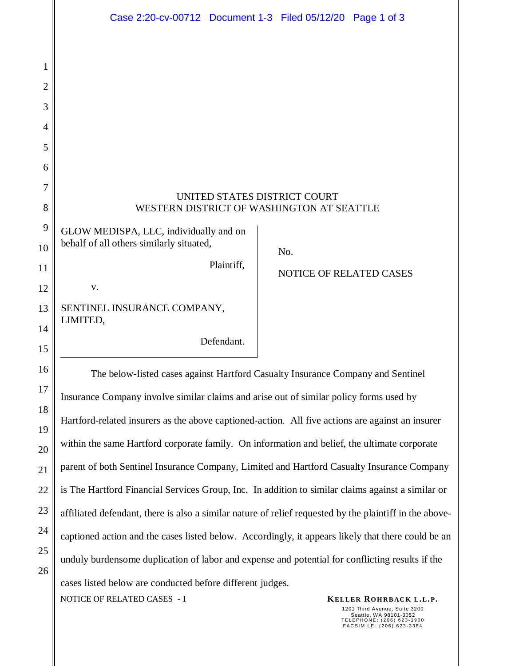|          | Case 2:20-cv-00712 Document 1-3 Filed 05/12/20 Page 1 of 3                                              |  |  |  |
|----------|---------------------------------------------------------------------------------------------------------|--|--|--|
|          |                                                                                                         |  |  |  |
| 1        |                                                                                                         |  |  |  |
| 2        |                                                                                                         |  |  |  |
| 3        |                                                                                                         |  |  |  |
| 4        |                                                                                                         |  |  |  |
| 5        |                                                                                                         |  |  |  |
| 6        |                                                                                                         |  |  |  |
| 7        | UNITED STATES DISTRICT COURT                                                                            |  |  |  |
| 8        | WESTERN DISTRICT OF WASHINGTON AT SEATTLE                                                               |  |  |  |
| 9        | GLOW MEDISPA, LLC, individually and on                                                                  |  |  |  |
| 10       | behalf of all others similarly situated,<br>No.                                                         |  |  |  |
| 11       | Plaintiff,<br><b>NOTICE OF RELATED CASES</b>                                                            |  |  |  |
| 12       | V.                                                                                                      |  |  |  |
| 13       | SENTINEL INSURANCE COMPANY,<br>LIMITED,                                                                 |  |  |  |
| 14       | Defendant.                                                                                              |  |  |  |
| 15       |                                                                                                         |  |  |  |
| 16       | The below-listed cases against Hartford Casualty Insurance Company and Sentinel                         |  |  |  |
| 17       | Insurance Company involve similar claims and arise out of similar policy forms used by                  |  |  |  |
| 18       | Hartford-related insurers as the above captioned-action. All five actions are against an insurer        |  |  |  |
| 19<br>20 | within the same Hartford corporate family. On information and belief, the ultimate corporate            |  |  |  |
| 21       | parent of both Sentinel Insurance Company, Limited and Hartford Casualty Insurance Company              |  |  |  |
| 22       | is The Hartford Financial Services Group, Inc. In addition to similar claims against a similar or       |  |  |  |
| 23       | affiliated defendant, there is also a similar nature of relief requested by the plaintiff in the above- |  |  |  |
| 24       | captioned action and the cases listed below. Accordingly, it appears likely that there could be an      |  |  |  |
| 25       | unduly burdensome duplication of labor and expense and potential for conflicting results if the         |  |  |  |
| 26       |                                                                                                         |  |  |  |

cases listed below are conducted before different judges.

**KELLER ROHRBACK L.L.P.**<br>**KELLER ROHRBACK L.L.P.** 

1201 Third Avenue, Suite 3200 Seattle, WA 98101-3052 T E L E P H O N E : ( 2 0 6 ) 6 2 3 - 1 9 0 0 F A C S I M I L E : ( 2 0 6 ) 6 2 3 - 3 3 8 4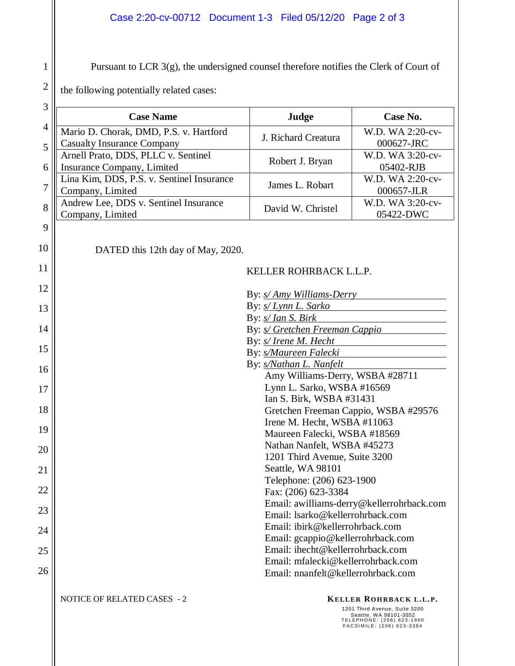### Case 2:20-cv-00712 Document 1-3 Filed 05/12/20 Page 2 of 3

Pursuant to LCR 3(g), the undersigned counsel therefore notifies the Clerk of Court of

the following potentially related cases:

1

2

| 3              |                                                                         |                                    |                                                                                                                                             |  |
|----------------|-------------------------------------------------------------------------|------------------------------------|---------------------------------------------------------------------------------------------------------------------------------------------|--|
|                | <b>Case Name</b>                                                        | Judge                              | Case No.                                                                                                                                    |  |
| $\overline{4}$ | Mario D. Chorak, DMD, P.S. v. Hartford                                  | J. Richard Creatura                | W.D. WA 2:20-cv-                                                                                                                            |  |
| 5              | <b>Casualty Insurance Company</b>                                       |                                    | 000627-JRC                                                                                                                                  |  |
|                | Arnell Prato, DDS, PLLC v. Sentinel                                     | Robert J. Bryan                    | W.D. WA 3:20-cv-                                                                                                                            |  |
| 6              | Insurance Company, Limited<br>Lina Kim, DDS, P.S. v. Sentinel Insurance |                                    | 05402-RJB<br>W.D. WA 2:20-cv-                                                                                                               |  |
| 7              | Company, Limited                                                        | James L. Robart                    | 000657-JLR                                                                                                                                  |  |
| 8              | Andrew Lee, DDS v. Sentinel Insurance                                   | David W. Christel                  | W.D. WA 3:20-cv-                                                                                                                            |  |
|                | Company, Limited                                                        |                                    | 05422-DWC                                                                                                                                   |  |
| 9              |                                                                         |                                    |                                                                                                                                             |  |
| 10             | DATED this 12th day of May, 2020.                                       |                                    |                                                                                                                                             |  |
| 11             |                                                                         | KELLER ROHRBACK L.L.P.             |                                                                                                                                             |  |
| 12             |                                                                         | By: <i>s/ Amy Williams-Derry</i>   |                                                                                                                                             |  |
| 13             |                                                                         | By: <i>s/ Lynn L. Sarko</i>        |                                                                                                                                             |  |
|                |                                                                         | By: <i>s/ Ian S. Birk</i>          |                                                                                                                                             |  |
| 14             | By: <i>s/ Gretchen Freeman Cappio</i>                                   |                                    |                                                                                                                                             |  |
| 15             | By: s/ Irene M. Hecht                                                   |                                    |                                                                                                                                             |  |
|                | By: s/Maureen Falecki                                                   |                                    |                                                                                                                                             |  |
| 16             | By: s/Nathan L. Nanfelt<br>Amy Williams-Derry, WSBA #28711              |                                    |                                                                                                                                             |  |
| 17             | Lynn L. Sarko, WSBA #16569                                              |                                    |                                                                                                                                             |  |
|                | Ian S. Birk, WSBA #31431                                                |                                    |                                                                                                                                             |  |
| 18             | Gretchen Freeman Cappio, WSBA #29576                                    |                                    |                                                                                                                                             |  |
| 19             | Irene M. Hecht, WSBA #11063                                             |                                    |                                                                                                                                             |  |
|                | Maureen Falecki, WSBA #18569<br>Nathan Nanfelt, WSBA #45273             |                                    |                                                                                                                                             |  |
| 20             | 1201 Third Avenue, Suite 3200                                           |                                    |                                                                                                                                             |  |
| 21             |                                                                         | Seattle, WA 98101                  |                                                                                                                                             |  |
|                | Telephone: (206) 623-1900                                               |                                    |                                                                                                                                             |  |
| 22             | Fax: (206) 623-3384                                                     |                                    |                                                                                                                                             |  |
| 23             | Email: awilliams-derry@kellerrohrback.com                               |                                    |                                                                                                                                             |  |
|                | Email: lsarko@kellerrohrback.com                                        |                                    |                                                                                                                                             |  |
| 24             | Email: ibirk@kellerrohrback.com<br>Email: gcappio@kellerrohrback.com    |                                    |                                                                                                                                             |  |
| 25             |                                                                         | Email: ihecht@kellerrohrback.com   |                                                                                                                                             |  |
|                |                                                                         | Email: mfalecki@kellerrohrback.com |                                                                                                                                             |  |
| 26             |                                                                         | Email: nnanfelt@kellerrohrback.com |                                                                                                                                             |  |
|                | NOTICE OF RELATED CASES - 2                                             |                                    | KELLER ROHRBACK L.L.P.<br>1201 Third Avenue, Suite 3200<br>Seattle, WA 98101-3052<br>TELEPHONE: (206) 623-1900<br>FACSIMILE: (206) 623-3384 |  |